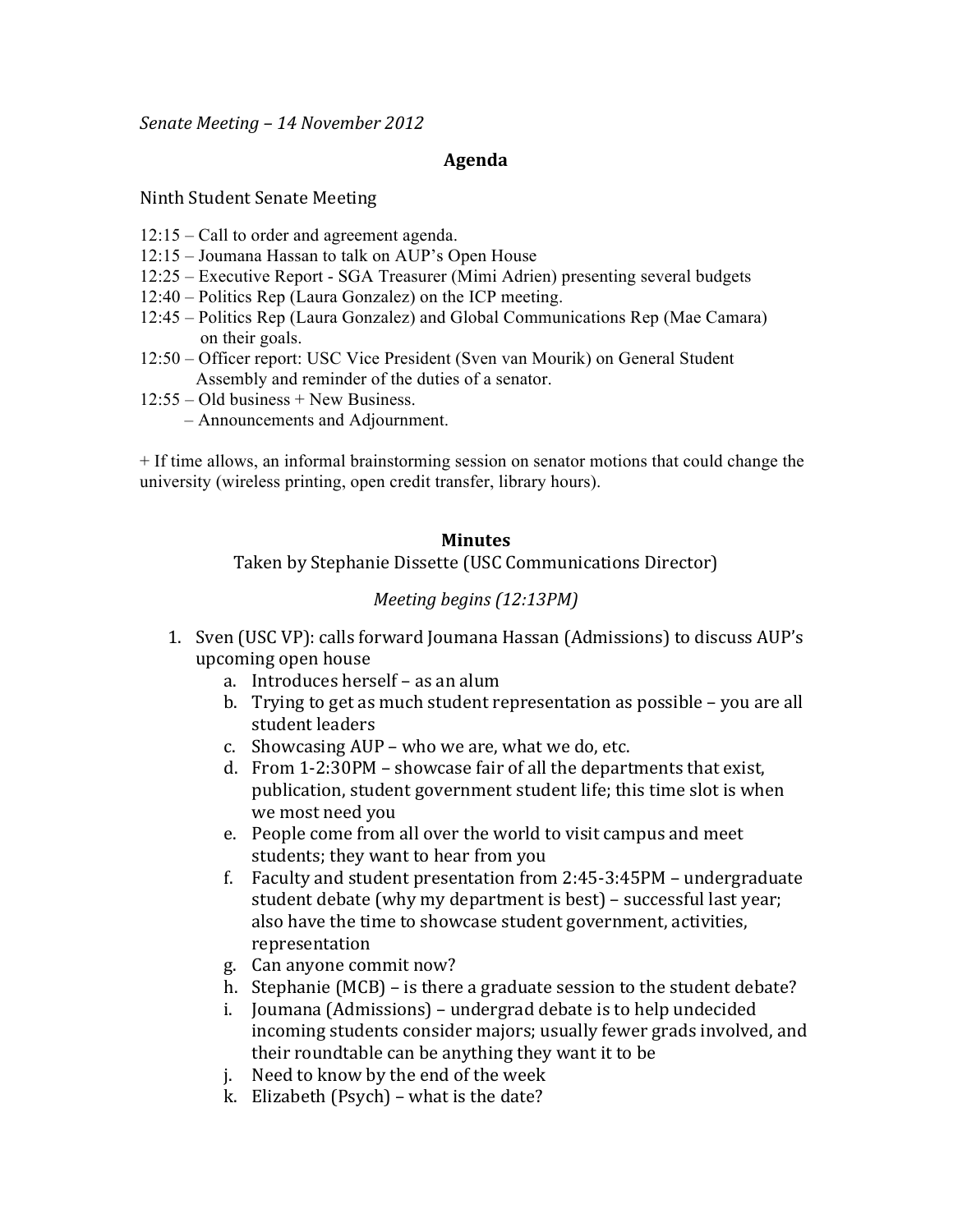*Senate&Meeting&– 14 November 2012*

## **Agenda**

## Ninth Student Senate Meeting

- 12:15 Call to order and agreement agenda.
- 12:15 Joumana Hassan to talk on AUP's Open House
- 12:25 Executive Report SGA Treasurer (Mimi Adrien) presenting several budgets
- 12:40 Politics Rep (Laura Gonzalez) on the ICP meeting.
- 12:45 Politics Rep (Laura Gonzalez) and Global Communications Rep (Mae Camara) on their goals.
- 12:50 Officer report: USC Vice President (Sven van Mourik) on General Student Assembly and reminder of the duties of a senator.
- 12:55 Old business + New Business.
	- Announcements and Adjournment.

+ If time allows, an informal brainstorming session on senator motions that could change the university (wireless printing, open credit transfer, library hours).

## **Minutes**

Taken by Stephanie Dissette (USC Communications Director)

## *Meeting begins (12:13PM)*

- 1. Sven (USC VP): calls forward Joumana Hassan (Admissions) to discuss AUP's upcoming open house
	- a. Introduces herself as an alum
	- b. Trying to get as much student representation as possible you are all student leaders
	- c. Showcasing  $AUP$  who we are, what we do, etc.
	- d. From  $1-2:30PM$  showcase fair of all the departments that exist, publication, student government student life; this time slot is when we most need you
	- e. People come from all over the world to visit campus and meet students; they want to hear from you
	- f. Faculty and student presentation from  $2:45-3:45PM$  undergraduate student debate (why my department is best) – successful last year; also have the time to showcase student government, activities, representation
	- g. Can anyone commit now?
	- h. Stephanie (MCB) is there a graduate session to the student debate?
	- i. Joumana (Admissions) undergrad debate is to help undecided incoming students consider majors; usually fewer grads involved, and their roundtable can be anything they want it to be
	- j. Need to know by the end of the week
	- k. Elizabeth (Psych) what is the date?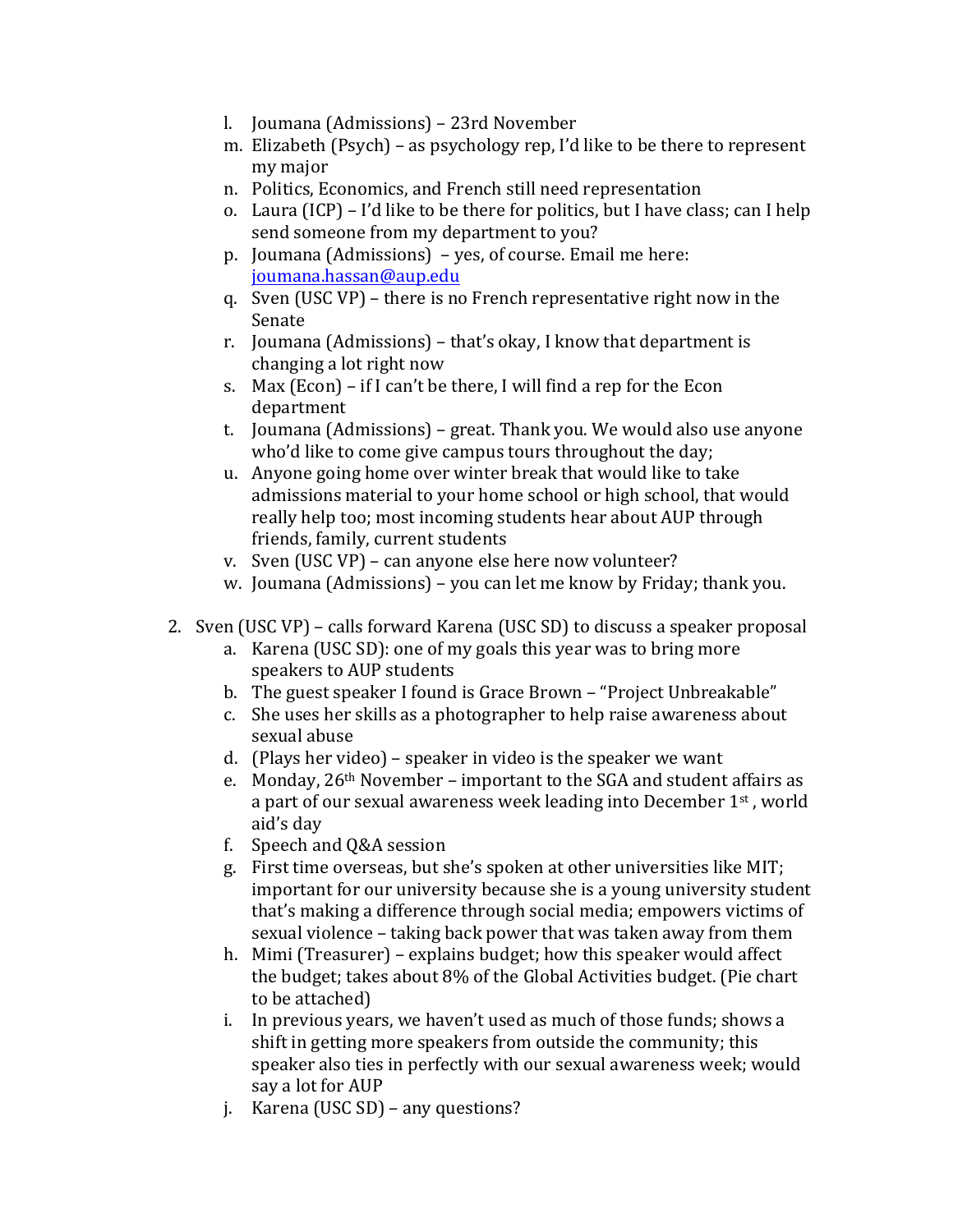- l. Joumana (Admissions) 23rd November
- m. Elizabeth (Psych) as psychology rep, I'd like to be there to represent my major
- n. Politics, Economics, and French still need representation
- o. Laura (ICP) I'd like to be there for politics, but I have class; can I help send someone from my department to you?
- p. Joumana (Admissions)  $-$  yes, of course. Email me here: joumana.hassan@aup.edu
- q. Sven (USC VP) there is no French representative right now in the Senate
- r. Joumana (Admissions) that's okay, I know that department is changing a lot right now
- s. Max (Econ) if I can't be there, I will find a rep for the Econ department
- t. Joumana (Admissions) great. Thank you. We would also use anyone who'd like to come give campus tours throughout the day;
- u. Anyone going home over winter break that would like to take admissions material to your home school or high school, that would really help too; most incoming students hear about AUP through friends, family, current students
- v. Sven (USC VP) can anyone else here now volunteer?
- w. Joumana (Admissions) you can let me know by Friday; thank you.
- 2. Sven (USC VP) calls forward Karena (USC SD) to discuss a speaker proposal
	- a. Karena (USC SD): one of my goals this year was to bring more speakers to AUP students
	- b. The guest speaker I found is Grace Brown "Project Unbreakable"
	- c. She uses her skills as a photographer to help raise awareness about sexual abuse
	- d. (Plays her video) speaker in video is the speaker we want
	- e. Monday,  $26<sup>th</sup>$  November important to the SGA and student affairs as a part of our sexual awareness week leading into December  $1<sup>st</sup>$ , world aid's day
	- f. Speech and  $Q&A$  session
	- g. First time overseas, but she's spoken at other universities like MIT; important for our university because she is a young university student that's making a difference through social media; empowers victims of sexual violence – taking back power that was taken away from them
	- h. Mimi (Treasurer) explains budget; how this speaker would affect the budget; takes about 8% of the Global Activities budget. (Pie chart to be attached)
	- i. In previous years, we haven't used as much of those funds; shows a shift in getting more speakers from outside the community; this speaker also ties in perfectly with our sexual awareness week; would say a lot for AUP
	- j. Karena (USC SD) any questions?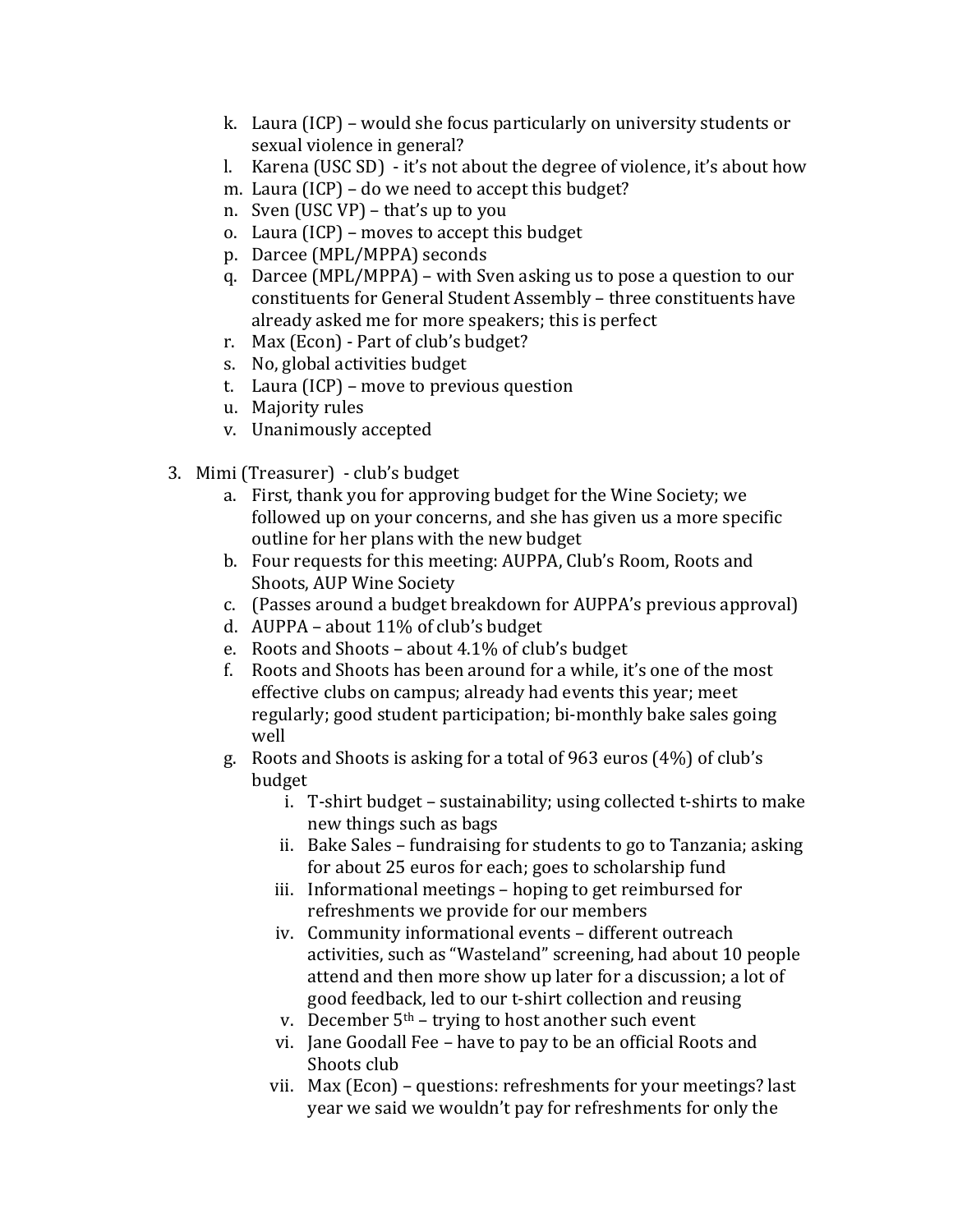- k. Laura (ICP) would she focus particularly on university students or sexual violence in general?
- l. Karena (USC SD) it's not about the degree of violence, it's about how
- m. Laura (ICP) do we need to accept this budget?
- n. Sven (USC VP) that's up to you
- o. Laura (ICP) moves to accept this budget
- p. Darcee (MPL/MPPA) seconds
- q. Darcee (MPL/MPPA) with Sven asking us to pose a question to our constituents for General Student Assembly – three constituents have already asked me for more speakers; this is perfect
- r. Max (Econ) Part of club's budget?
- s. No, global activities budget
- t. Laura (ICP) move to previous question
- u. Majority rules
- v. Unanimously accepted
- 3. Mimi (Treasurer) club's budget
	- a. First, thank you for approving budget for the Wine Society; we followed up on your concerns, and she has given us a more specific outline for her plans with the new budget
	- b. Four requests for this meeting: AUPPA, Club's Room, Roots and Shoots, AUP Wine Society
	- c. (Passes around a budget breakdown for AUPPA's previous approval)
	- d. AUPPA about  $11\%$  of club's budget
	- e. Roots and Shoots about  $4.1\%$  of club's budget
	- f. Roots and Shoots has been around for a while, it's one of the most effective clubs on campus; already had events this year; meet regularly; good student participation; bi-monthly bake sales going well
	- g. Roots and Shoots is asking for a total of 963 euros (4%) of club's budget
		- i. T-shirt budget sustainability; using collected t-shirts to make new things such as bags
		- ii. Bake Sales fundraising for students to go to Tanzania; asking for about 25 euros for each; goes to scholarship fund
		- iii. Informational meetings hoping to get reimbursed for refreshments we provide for our members
		- iv. Community informational events different outreach activities, such as "Wasteland" screening, had about 10 people attend and then more show up later for a discussion; a lot of good feedback, led to our t-shirt collection and reusing
		- v. December  $5<sup>th</sup>$  trying to host another such event
		- vi. Jane Goodall Fee have to pay to be an official Roots and Shoots club
		- vii. Max (Econ) questions: refreshments for your meetings? last year we said we wouldn't pay for refreshments for only the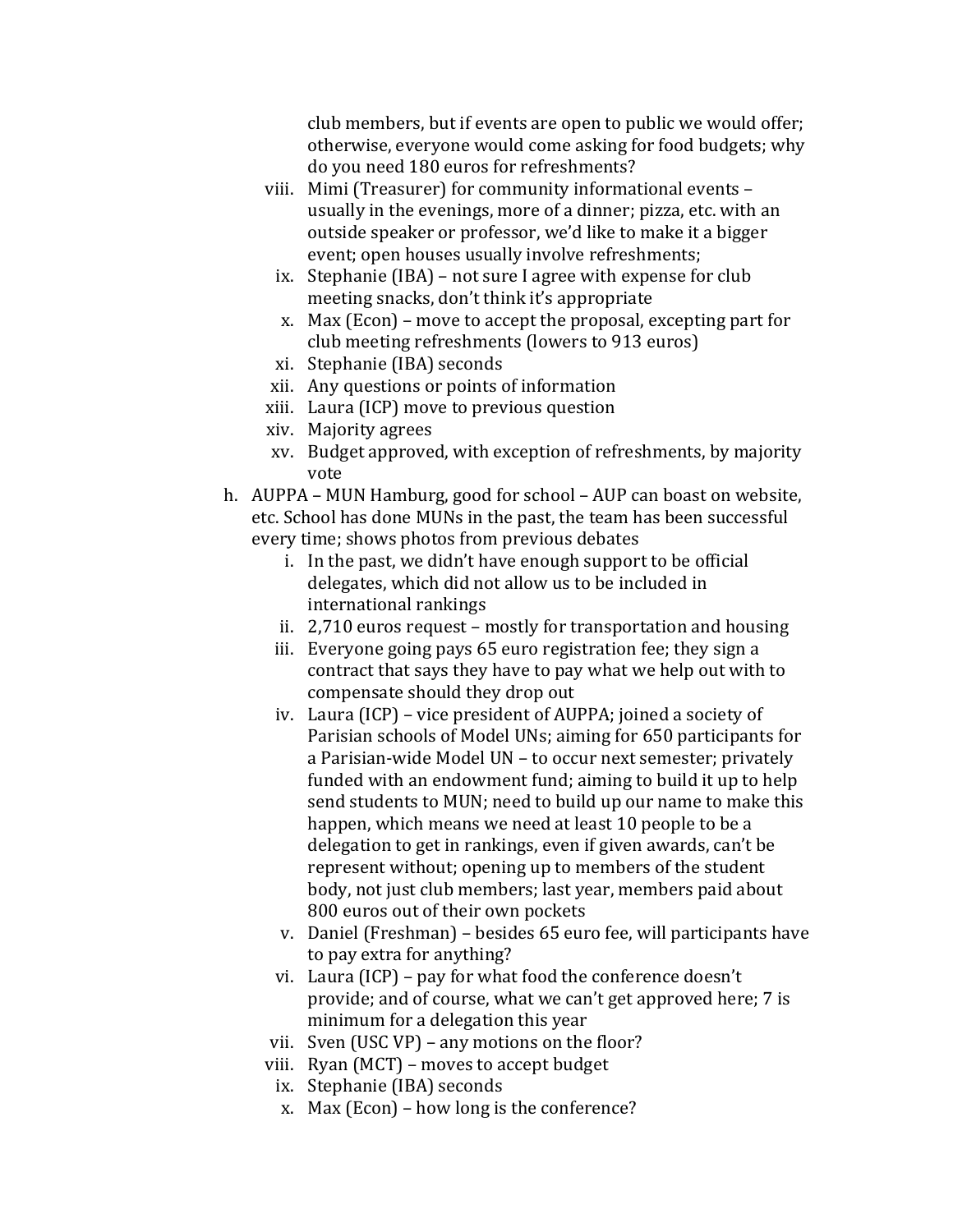club members, but if events are open to public we would offer; otherwise, everyone would come asking for food budgets; why do you need 180 euros for refreshments?

- viii. Mimi (Treasurer) for community informational events usually in the evenings, more of a dinner; pizza, etc. with an outside speaker or professor, we'd like to make it a bigger event; open houses usually involve refreshments;
	- ix. Stephanie (IBA) not sure I agree with expense for club meeting snacks, don't think it's appropriate
	- x. Max (Econ) move to accept the proposal, excepting part for club meeting refreshments (lowers to 913 euros)
	- xi. Stephanie (IBA) seconds
- xii. Any questions or points of information
- xiii. Laura (ICP) move to previous question
- xiv. Majority&agrees
- xv. Budget approved, with exception of refreshments, by majority vote
- h. AUPPA MUN Hamburg, good for school AUP can boast on website, etc. School has done MUNs in the past, the team has been successful every time; shows photos from previous debates
	- i. In the past, we didn't have enough support to be official delegates, which did not allow us to be included in international rankings
	- ii.  $2,710$  euros request mostly for transportation and housing
	- iii. Everyone going pays 65 euro registration fee; they sign a contract that says they have to pay what we help out with to compensate should they drop out
	- iv. Laura (ICP) vice president of AUPPA; joined a society of Parisian schools of Model UNs; aiming for 650 participants for a Parisian-wide Model UN – to occur next semester; privately funded with an endowment fund; aiming to build it up to help send students to MUN; need to build up our name to make this happen, which means we need at least 10 people to be a delegation to get in rankings, even if given awards, can't be represent without; opening up to members of the student body, not just club members; last year, members paid about 800 euros out of their own pockets
	- v. Daniel (Freshman) besides 65 euro fee, will participants have to pay extra for anything?
	- vi. Laura (ICP) pay for what food the conference doesn't provide; and of course, what we can't get approved here; 7 is minimum for a delegation this year
	- vii. Sven (USC VP) any motions on the floor?
	- viii. Ryan (MCT) moves to accept budget
		- ix. Stephanie (IBA) seconds
		- x. Max (Econ) how long is the conference?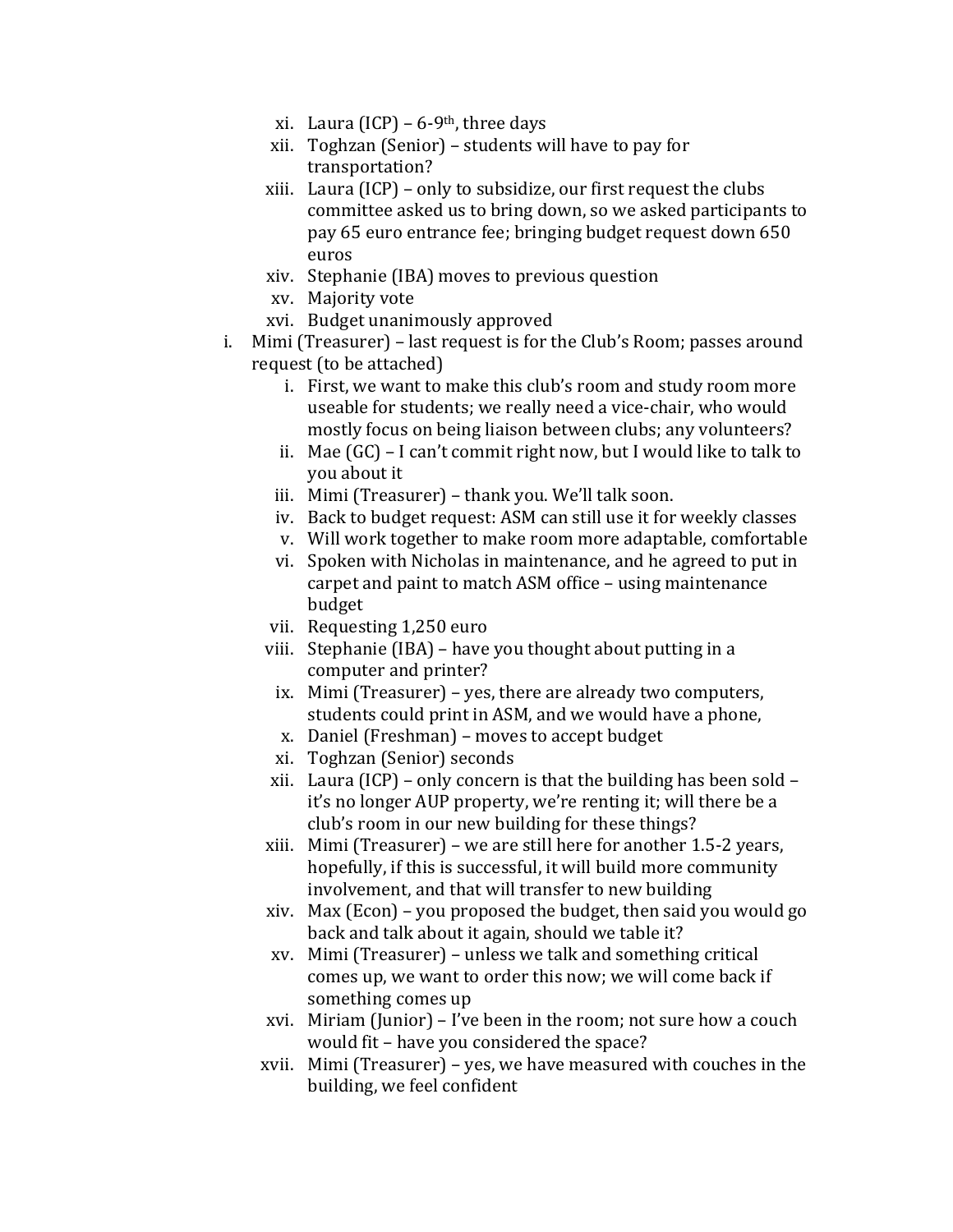- xi. Laura (ICP) 6-9<sup>th</sup>, three days
- xii. Toghzan (Senior) students will have to pay for transportation?
- xiii. Laura (ICP) only to subsidize, our first request the clubs committee asked us to bring down, so we asked participants to pay 65 euro entrance fee; bringing budget request down 650 euros
- xiv. Stephanie (IBA) moves to previous question
- xv. Majority vote
- xvi. Budget unanimously approved
- i. Mimi (Treasurer) last request is for the Club's Room; passes around request (to be attached)
	- i. First, we want to make this club's room and study room more useable for students; we really need a vice-chair, who would mostly focus on being liaison between clubs; any volunteers?
	- ii. Mae  $(GC)$  I can't commit right now, but I would like to talk to you about it
	- iii. Mimi (Treasurer) thank you. We'll talk soon.
	- iv. Back to budget request: ASM can still use it for weekly classes
	- v. Will work together to make room more adaptable, comfortable
	- vi. Spoken with Nicholas in maintenance, and he agreed to put in carpet and paint to match ASM office – using maintenance budget
	- vii. Requesting 1,250 euro
	- viii. Stephanie (IBA) have you thought about putting in a computer and printer?
		- ix. Mimi (Treasurer) yes, there are already two computers, students could print in ASM, and we would have a phone,
		- x. Daniel (Freshman) moves to accept budget
		- xi. Toghzan (Senior) seconds
	- xii. Laura (ICP) only concern is that the building has been sold it's no longer AUP property, we're renting it; will there be a club's room in our new building for these things?
	- xiii. Mimi (Treasurer) we are still here for another  $1.5$ -2 years, hopefully, if this is successful, it will build more community involvement, and that will transfer to new building
	- xiv. Max (Econ) you proposed the budget, then said you would go back and talk about it again, should we table it?
	- $xv.$  Mimi (Treasurer) unless we talk and something critical comes up, we want to order this now; we will come back if something comes up
	- xvi. Miriam (Junior) I've been in the room; not sure how a couch would fit – have you considered the space?
	- xvii. Mimi (Treasurer) yes, we have measured with couches in the building, we feel confident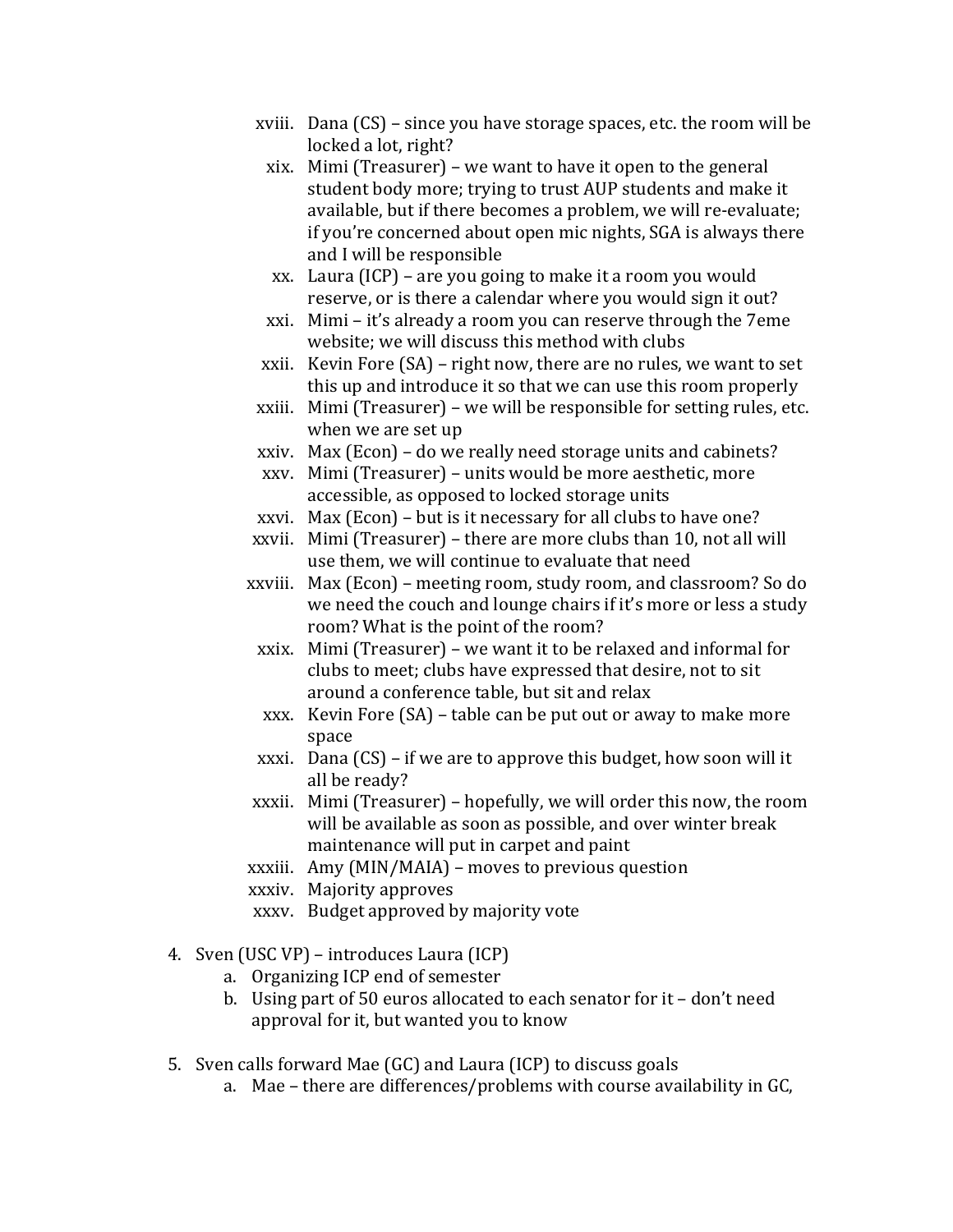- xviii. Dana  $(CS)$  since you have storage spaces, etc. the room will be locked a lot, right?
	- xix. Mimi (Treasurer) we want to have it open to the general student body more; trying to trust AUP students and make it available, but if there becomes a problem, we will re-evaluate; if you're concerned about open mic nights, SGA is always there and I will be responsible
	- xx. Laura (ICP) are you going to make it a room you would reserve, or is there a calendar where you would sign it out?
- xxi. Mimi it's already a room you can reserve through the 7eme website; we will discuss this method with clubs
- xxii. Kevin Fore  $(SA)$  right now, there are no rules, we want to set this up and introduce it so that we can use this room properly
- $xxiii.$  Mimi (Treasurer) we will be responsible for setting rules, etc. when we are set up
- xxiv. Max (Econ) do we really need storage units and cabinets?
- xxv. Mimi (Treasurer) units would be more aesthetic, more accessible, as opposed to locked storage units
- xxvi. Max (Econ) but is it necessary for all clubs to have one?
- xxvii. Mimi (Treasurer) there are more clubs than 10, not all will use them, we will continue to evaluate that need
- xxviii. Max (Econ) meeting room, study room, and classroom? So do we need the couch and lounge chairs if it's more or less a study room? What is the point of the room?
- xxix. Mimi (Treasurer) we want it to be relaxed and informal for clubs to meet; clubs have expressed that desire, not to sit around a conference table, but sit and relax
- xxx. Kevin Fore  $(SA)$  table can be put out or away to make more space
- xxxi. Dana  $(CS)$  if we are to approve this budget, how soon will it all be ready?
- xxxii. Mimi (Treasurer) hopefully, we will order this now, the room will be available as soon as possible, and over winter break maintenance will put in carpet and paint
- xxxiii. Amy (MIN/MAIA) moves to previous question
- xxxiv. Majority approves
- xxxv. Budget approved by majority vote
- 4. Sven (USC VP) introduces Laura (ICP)
	- a. Organizing ICP end of semester
	- b. Using part of 50 euros allocated to each senator for it don't need approval for it, but wanted you to know
- 5. Sven calls forward Mae (GC) and Laura (ICP) to discuss goals
	- a. Mae there are differences/problems with course availability in GC,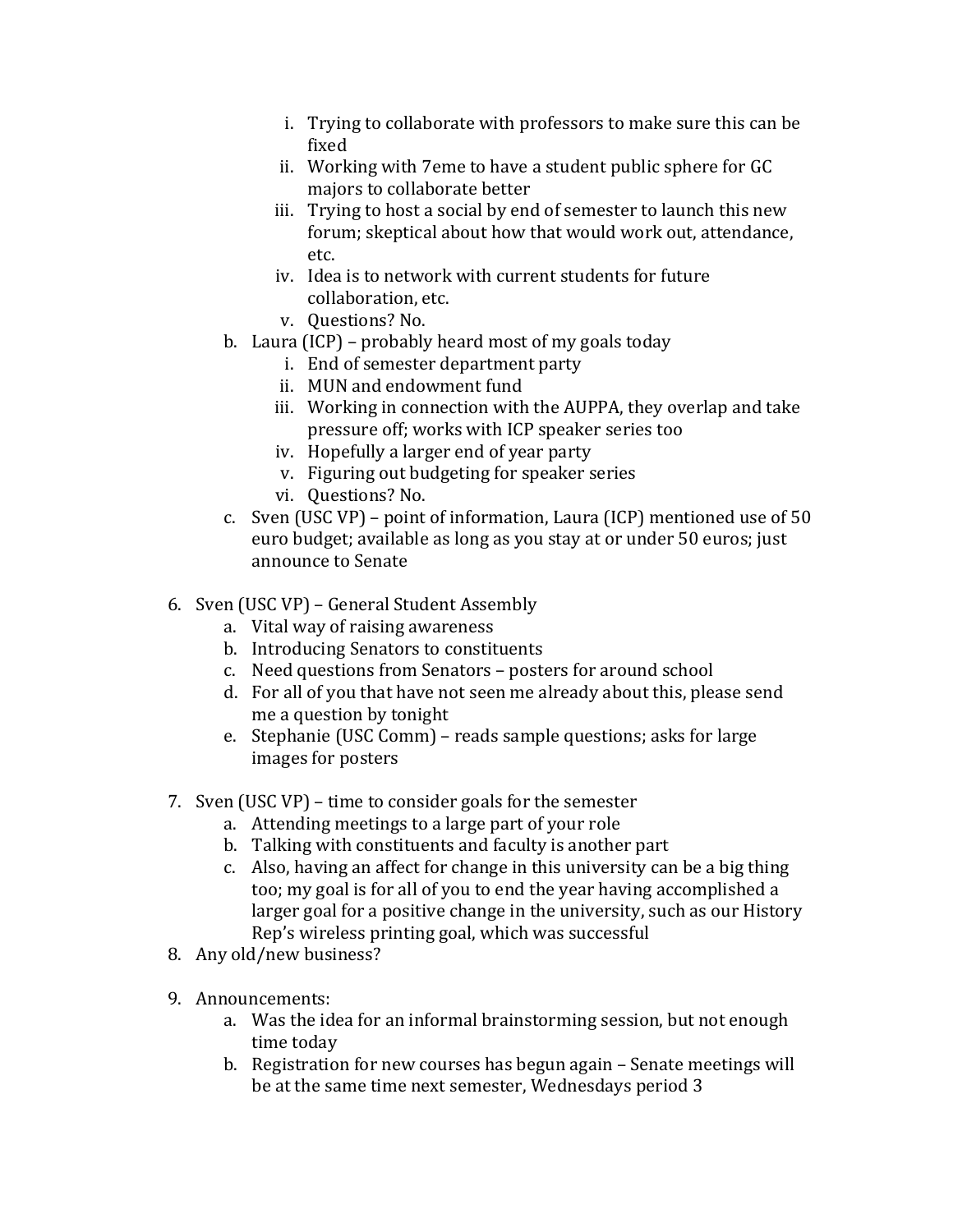- i. Trying to collaborate with professors to make sure this can be fixed
- ii. Working with 7eme to have a student public sphere for GC majors to collaborate better
- iii. Trying to host a social by end of semester to launch this new forum; skeptical about how that would work out, attendance, etc.
- iv. Idea is to network with current students for future collaboration, etc.
- v. Ouestions? No.
- b. Laura (ICP) probably heard most of my goals today
	- i. End of semester department party
	- ii. MUN and endowment fund
	- iii. Working in connection with the AUPPA, they overlap and take pressure off; works with ICP speaker series too
	- iv. Hopefully a larger end of year party
	- v. Figuring out budgeting for speaker series
	- vi. Questions? No.
- c. Sven (USC VP) point of information, Laura (ICP) mentioned use of  $50$ euro budget; available as long as you stay at or under 50 euros: iust announce to Senate
- 6. Sven (USC VP) General Student Assembly
	- a. Vital way of raising awareness
	- b. Introducing Senators to constituents
	- c. Need questions from Senators posters for around school
	- d. For all of you that have not seen me already about this, please send me a question by tonight
	- e. Stephanie (USC Comm) reads sample questions; asks for large images for posters
- 7. Sven (USC VP) time to consider goals for the semester
	- a. Attending meetings to a large part of your role
	- b. Talking with constituents and faculty is another part
	- c. Also, having an affect for change in this university can be a big thing too; my goal is for all of you to end the year having accomplished a larger goal for a positive change in the university, such as our History Rep's wireless printing goal, which was successful
- 8. Any old/new business?
- 9. Announcements:
	- a. Was the idea for an informal brainstorming session, but not enough time today
	- b. Registration for new courses has begun again Senate meetings will be at the same time next semester, Wednesdays period 3